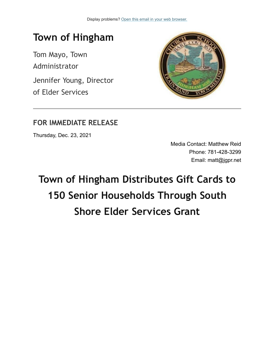

## **FOR IMMEDIATE RELEASE**

Thursday, Dec. 23, 2021

Media Contact: Matthew Reid Phone: 781-428-3299 Email: matt@jgpr.net

## **Town of Hingham Distributes Gift Cards to 150 Senior Households Through South Shore Elder Services Grant**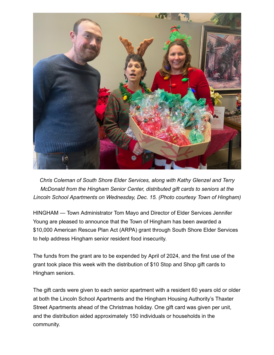

*Chris Coleman of South Shore Elder Services, along with Kathy Glenzel and Terry McDonald from the Hingham Senior Center, distributed gift cards to seniors at the Lincoln School Apartments on Wednesday, Dec. 15. (Photo courtesy Town of Hingham)*

HINGHAM — Town Administrator Tom Mayo and Director of Elder Services Jennifer Young are pleased to announce that the Town of Hingham has been awarded a \$10,000 American Rescue Plan Act (ARPA) grant through South Shore Elder Services to help address Hingham senior resident food insecurity.

The funds from the grant are to be expended by April of 2024, and the first use of the grant took place this week with the distribution of \$10 Stop and Shop gift cards to Hingham seniors.

The gift cards were given to each senior apartment with a resident 60 years old or older at both the Lincoln School Apartments and the Hingham Housing Authority's Thaxter Street Apartments ahead of the Christmas holiday. One gift card was given per unit, and the distribution aided approximately 150 individuals or households in the community.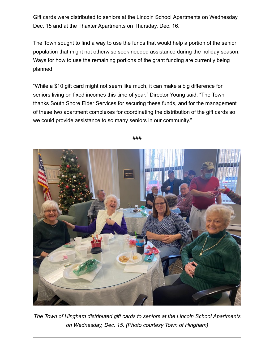Gift cards were distributed to seniors at the Lincoln School Apartments on Wednesday, Dec. 15 and at the Thaxter Apartments on Thursday, Dec. 16.

The Town sought to find a way to use the funds that would help a portion of the senior population that might not otherwise seek needed assistance during the holiday season. Ways for how to use the remaining portions of the grant funding are currently being planned.

"While a \$10 gift card might not seem like much, it can make a big difference for seniors living on fixed incomes this time of year," Director Young said. "The Town thanks South Shore Elder Services for securing these funds, and for the management of these two apartment complexes for coordinating the distribution of the gift cards so we could provide assistance to so many seniors in our community."



###

*The Town of Hingham distributed gift cards to seniors at the Lincoln School Apartments on Wednesday, Dec. 15. (Photo courtesy Town of Hingham)*